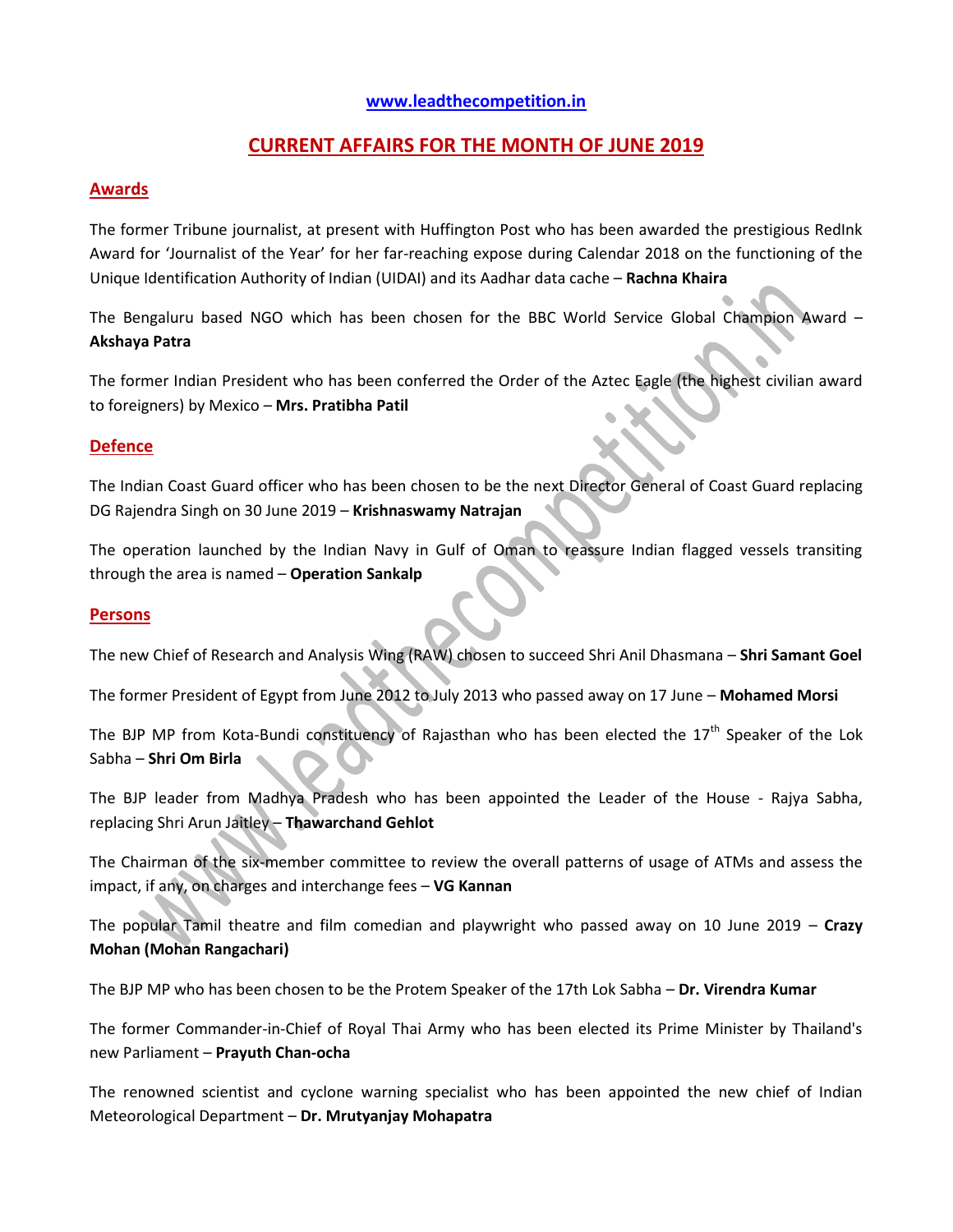## **[www.leadthecompetition.in](http://www.leadthecompetition.in/)**

# **CURRENT AFFAIRS FOR THE MONTH OF JUNE 2019**

### **Awards**

The former Tribune journalist, at present with Huffington Post who has been awarded the prestigious RedInk Award for 'Journalist of the Year' for her far-reaching expose during Calendar 2018 on the functioning of the Unique Identification Authority of Indian (UIDAI) and its Aadhar data cache – **Rachna Khaira**

The Bengaluru based NGO which has been chosen for the BBC World Service Global Champion Award – **Akshaya Patra**

The former Indian President who has been conferred the Order of the Aztec Eagle (the highest civilian award to foreigners) by Mexico – **Mrs. Pratibha Patil**

## **Defence**

The Indian Coast Guard officer who has been chosen to be the next Director General of Coast Guard replacing DG Rajendra Singh on 30 June 2019 – **Krishnaswamy Natrajan**

The operation launched by the Indian Navy in Gulf of Oman to reassure Indian flagged vessels transiting through the area is named – **Operation Sankalp**

### **Persons**

The new Chief of Research and Analysis Wing (RAW) chosen to succeed Shri Anil Dhasmana – **Shri Samant Goel**

The former President of Egypt from June 2012 to July 2013 who passed away on 17 June – **Mohamed Morsi**

The BJP MP from Kota-Bundi constituency of Rajasthan who has been elected the  $17<sup>th</sup>$  Speaker of the Lok Sabha – **Shri Om Birla**

The BJP leader from Madhya Pradesh who has been appointed the Leader of the House - Rajya Sabha, replacing Shri Arun Jaitley – **Thawarchand Gehlot**

The Chairman of the six-member committee to review the overall patterns of usage of ATMs and assess the impact, if any, on charges and interchange fees – **VG Kannan**

The popular Tamil theatre and film comedian and playwright who passed away on 10 June 2019 – **Crazy Mohan (Mohan Rangachari)**

The BJP MP who has been chosen to be the Protem Speaker of the 17th Lok Sabha – **Dr. Virendra Kumar**

The former Commander-in-Chief of Royal Thai Army who has been elected its Prime Minister by Thailand's new Parliament – **Prayuth Chan-ocha**

The renowned scientist and cyclone warning specialist who has been appointed the new chief of Indian Meteorological Department – **Dr. Mrutyanjay Mohapatra**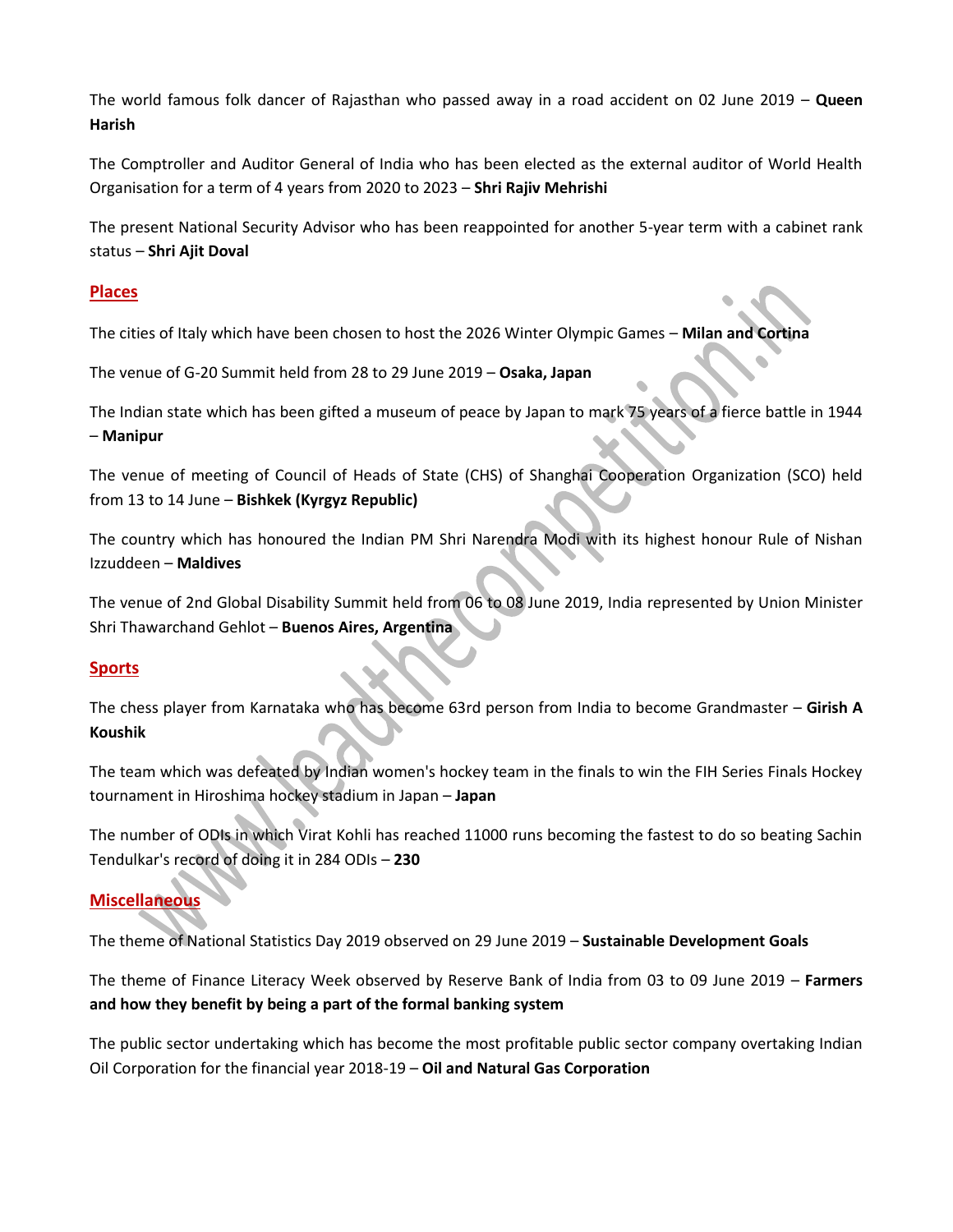The world famous folk dancer of Rajasthan who passed away in a road accident on 02 June 2019 – **Queen Harish**

The Comptroller and Auditor General of India who has been elected as the external auditor of World Health Organisation for a term of 4 years from 2020 to 2023 – **Shri Rajiv Mehrishi**

The present National Security Advisor who has been reappointed for another 5-year term with a cabinet rank status – **Shri Ajit Doval**

## **Places**

The cities of Italy which have been chosen to host the 2026 Winter Olympic Games – **Milan and Cortina**

The venue of G-20 Summit held from 28 to 29 June 2019 – **Osaka, Japan**

The Indian state which has been gifted a museum of peace by Japan to mark 75 years of a fierce battle in 1944 – **Manipur**

The venue of meeting of Council of Heads of State (CHS) of Shanghai Cooperation Organization (SCO) held from 13 to 14 June – **Bishkek (Kyrgyz Republic)**

The country which has honoured the Indian PM Shri Narendra Modi with its highest honour Rule of Nishan Izzuddeen – **Maldives**

The venue of 2nd Global Disability Summit held from 06 to 08 June 2019, India represented by Union Minister Shri Thawarchand Gehlot – **Buenos Aires, Argentina**

## **Sports**

The chess player from Karnataka who has become 63rd person from India to become Grandmaster – **Girish A Koushik**

The team which was defeated by Indian women's hockey team in the finals to win the FIH Series Finals Hockey tournament in Hiroshima hockey stadium in Japan – **Japan**

The number of ODIs in which Virat Kohli has reached 11000 runs becoming the fastest to do so beating Sachin Tendulkar's record of doing it in 284 ODIs – **230**

# **Miscellaneous**

The theme of National Statistics Day 2019 observed on 29 June 2019 – **Sustainable Development Goals**

The theme of Finance Literacy Week observed by Reserve Bank of India from 03 to 09 June 2019 – **Farmers and how they benefit by being a part of the formal banking system**

The public sector undertaking which has become the most profitable public sector company overtaking Indian Oil Corporation for the financial year 2018-19 – **Oil and Natural Gas Corporation**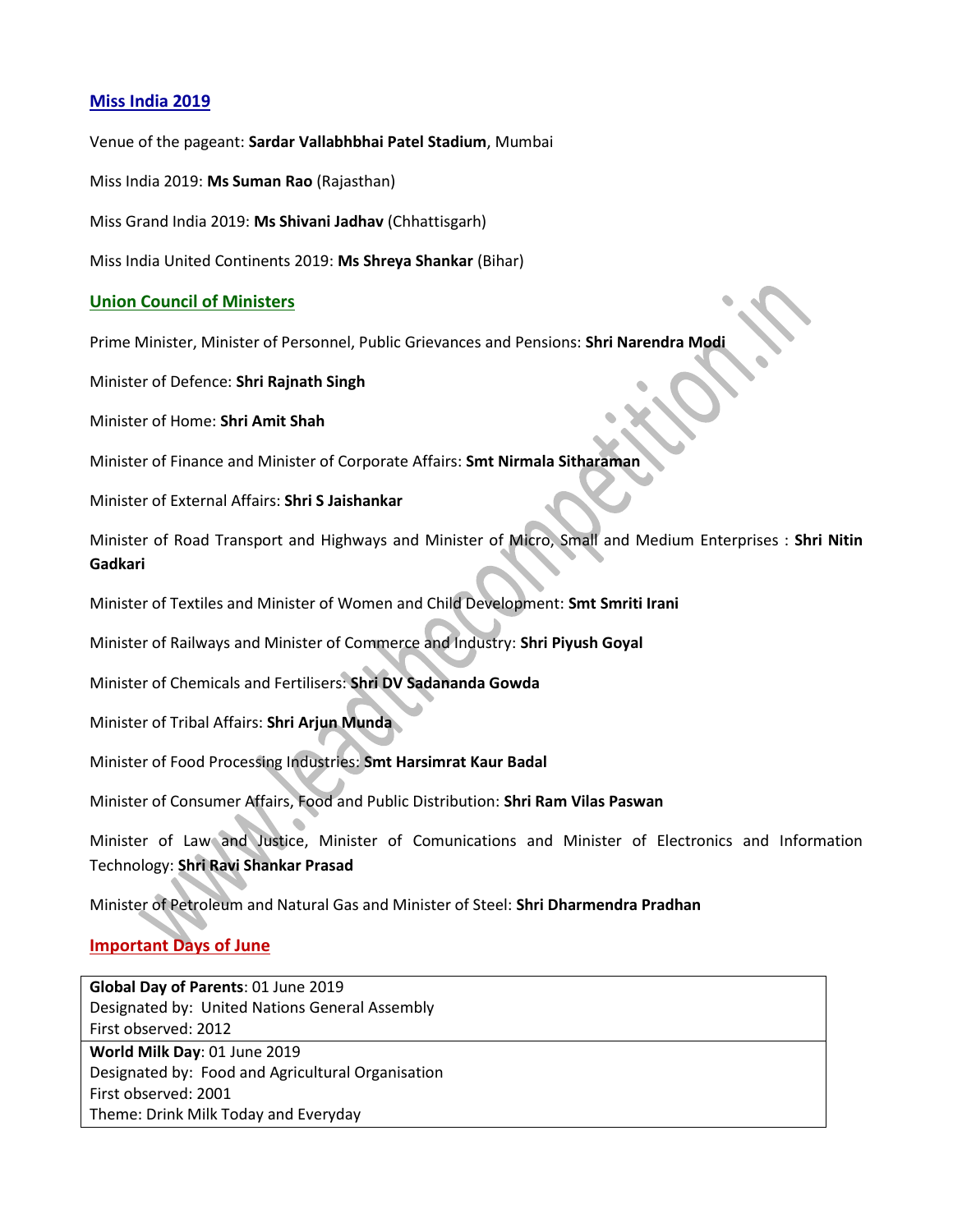## **Miss India 2019**

Venue of the pageant: **Sardar Vallabhbhai Patel Stadium**, Mumbai

Miss India 2019: **Ms Suman Rao** (Rajasthan)

Miss Grand India 2019: **Ms Shivani Jadhav** (Chhattisgarh)

Miss India United Continents 2019: **Ms Shreya Shankar** (Bihar)

### **Union Council of Ministers**

Prime Minister, Minister of Personnel, Public Grievances and Pensions: **Shri Narendra Modi**

Minister of Defence: **Shri Rajnath Singh**

Minister of Home: **Shri Amit Shah**

Minister of Finance and Minister of Corporate Affairs: **Smt Nirmala Sitharaman**

Minister of External Affairs: **Shri S Jaishankar**

Minister of Road Transport and Highways and Minister of Micro, Small and Medium Enterprises : **Shri Nitin Gadkari**

Minister of Textiles and Minister of Women and Child Development: **Smt Smriti Irani**

Minister of Railways and Minister of Commerce and Industry: **Shri Piyush Goyal**

Minister of Chemicals and Fertilisers: **Shri DV Sadananda Gowda**

Minister of Tribal Affairs: **Shri Arjun Munda**

Minister of Food Processing Industries: **Smt Harsimrat Kaur Badal**

Minister of Consumer Affairs, Food and Public Distribution: **Shri Ram Vilas Paswan**

Minister of Law and Justice, Minister of Comunications and Minister of Electronics and Information Technology: **Shri Ravi Shankar Prasad**

Minister of Petroleum and Natural Gas and Minister of Steel: **Shri Dharmendra Pradhan**

## **Important Days of June**

**Global Day of Parents**: 01 June 2019 Designated by: United Nations General Assembly First observed: 2012 **World Milk Day**: 01 June 2019 Designated by: Food and Agricultural Organisation First observed: 2001 Theme: Drink Milk Today and Everyday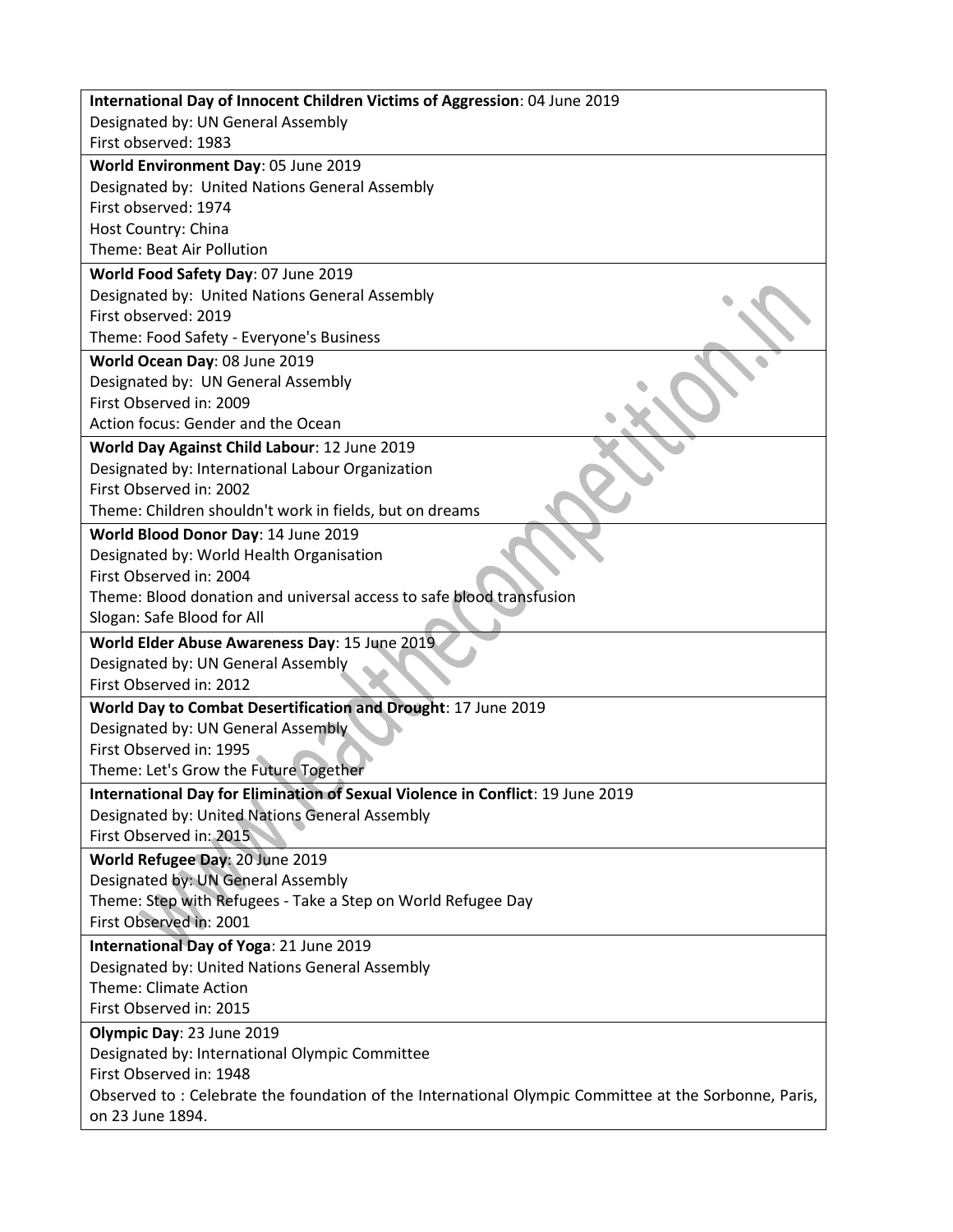| International Day of Innocent Children Victims of Aggression: 04 June 2019                                               |
|--------------------------------------------------------------------------------------------------------------------------|
| Designated by: UN General Assembly                                                                                       |
| First observed: 1983                                                                                                     |
| World Environment Day: 05 June 2019                                                                                      |
| Designated by: United Nations General Assembly                                                                           |
| First observed: 1974                                                                                                     |
| Host Country: China                                                                                                      |
| Theme: Beat Air Pollution                                                                                                |
| World Food Safety Day: 07 June 2019                                                                                      |
| Designated by: United Nations General Assembly                                                                           |
| First observed: 2019                                                                                                     |
| Theme: Food Safety - Everyone's Business                                                                                 |
| World Ocean Day: 08 June 2019                                                                                            |
| Designated by: UN General Assembly<br>First Observed in: 2009                                                            |
| Action focus: Gender and the Ocean                                                                                       |
|                                                                                                                          |
| World Day Against Child Labour: 12 June 2019                                                                             |
| Designated by: International Labour Organization<br>First Observed in: 2002                                              |
| Theme: Children shouldn't work in fields, but on dreams                                                                  |
| World Blood Donor Day: 14 June 2019                                                                                      |
| Designated by: World Health Organisation                                                                                 |
| First Observed in: 2004                                                                                                  |
| Theme: Blood donation and universal access to safe blood transfusion                                                     |
| Slogan: Safe Blood for All                                                                                               |
| World Elder Abuse Awareness Day: 15 June 2019                                                                            |
| Designated by: UN General Assembly                                                                                       |
| First Observed in: 2012                                                                                                  |
| World Day to Combat Desertification and Drought: 17 June 2019                                                            |
| Designated by: UN General Assembly                                                                                       |
| First Observed in: 1995                                                                                                  |
| Theme: Let's Grow the Future Together                                                                                    |
| International Day for Elimination of Sexual Violence in Conflict: 19 June 2019                                           |
| Designated by: United Nations General Assembly                                                                           |
| First Observed in: 2015                                                                                                  |
| World Refugee Day: 20 June 2019                                                                                          |
| Designated by: UN General Assembly                                                                                       |
| Theme: Step with Refugees - Take a Step on World Refugee Day                                                             |
| First Observed in: 2001                                                                                                  |
| International Day of Yoga: 21 June 2019                                                                                  |
| Designated by: United Nations General Assembly                                                                           |
| <b>Theme: Climate Action</b>                                                                                             |
| First Observed in: 2015                                                                                                  |
| Olympic Day: 23 June 2019                                                                                                |
| Designated by: International Olympic Committee                                                                           |
| First Observed in: 1948                                                                                                  |
| Observed to: Celebrate the foundation of the International Olympic Committee at the Sorbonne, Paris,<br>on 23 June 1894. |
|                                                                                                                          |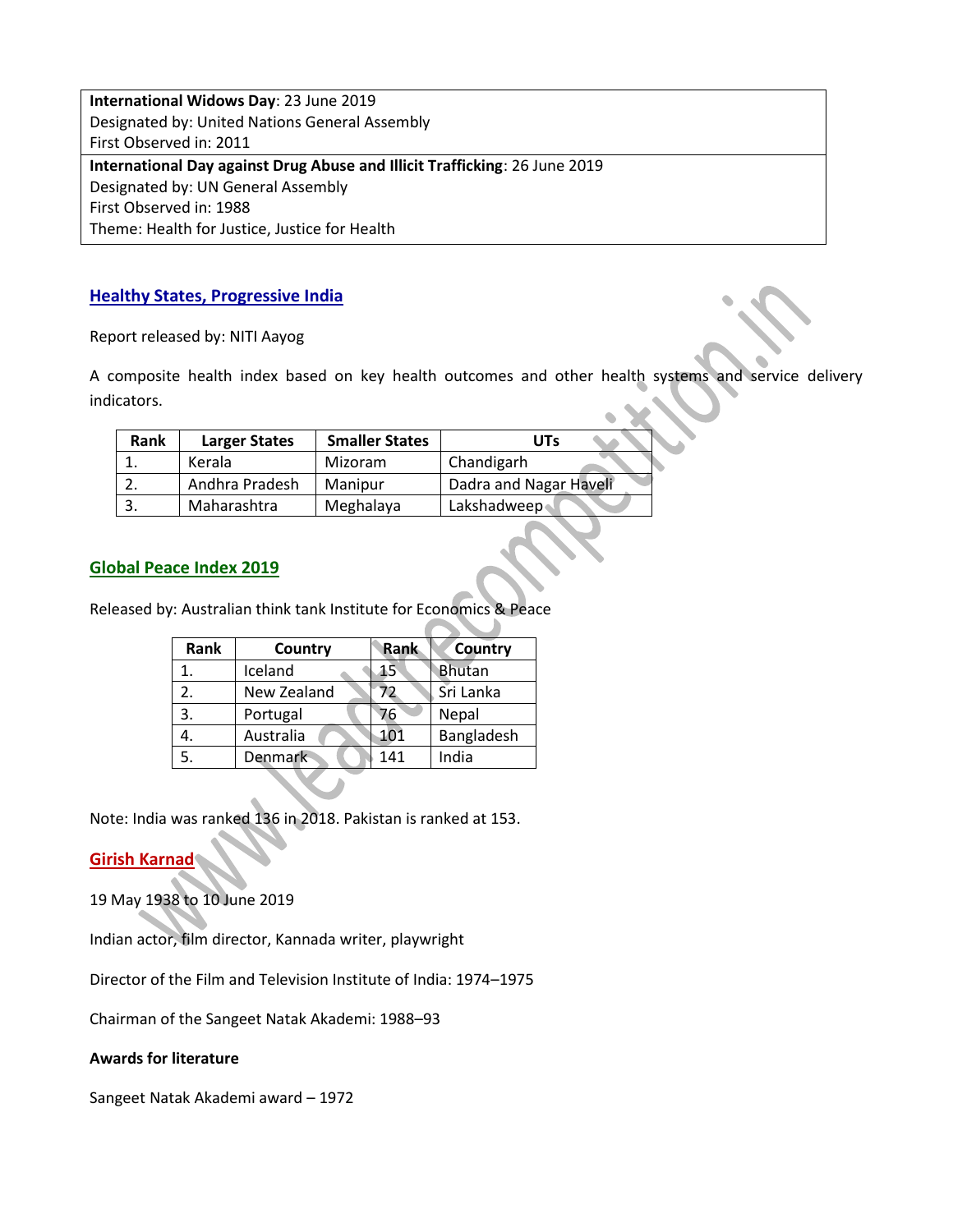**International Widows Day**: 23 June 2019 Designated by: United Nations General Assembly First Observed in: 2011 **International Day against Drug Abuse and Illicit Trafficking**: 26 June 2019 Designated by: UN General Assembly First Observed in: 1988 Theme: Health for Justice, Justice for Health

## **Healthy States, Progressive India**

Report released by: NITI Aayog

A composite health index based on key health outcomes and other health systems and service delivery indicators.

| Rank | <b>Larger States</b> | <b>Smaller States</b> | UTs                    |
|------|----------------------|-----------------------|------------------------|
|      | Kerala               | Mizoram               | Chandigarh             |
|      | Andhra Pradesh       | Manipur               | Dadra and Nagar Haveli |
|      | Maharashtra          | Meghalaya             | Lakshadweep            |

### **Global Peace Index 2019**

Released by: Australian think tank Institute for Economics & Peace

| Rank | Country     | <b>Rank</b> | Country       |
|------|-------------|-------------|---------------|
|      | Iceland     | 15          | <b>Bhutan</b> |
| 2.   | New Zealand | $\prime$    | Sri Lanka     |
| 3.   | Portugal    | 76          | Nepal         |
|      | Australia   | 101         | Bangladesh    |
|      | Denmark     | 141         | India         |

Note: India was ranked 136 in 2018. Pakistan is ranked at 153.

### **Girish Karnad**

19 May 1938 to 10 June 2019

Indian actor, film director, Kannada writer, playwright

Director of the Film and Television Institute of India: 1974–1975

Chairman of the Sangeet Natak Akademi: 1988–93

#### **Awards for literature**

Sangeet Natak Akademi award – 1972